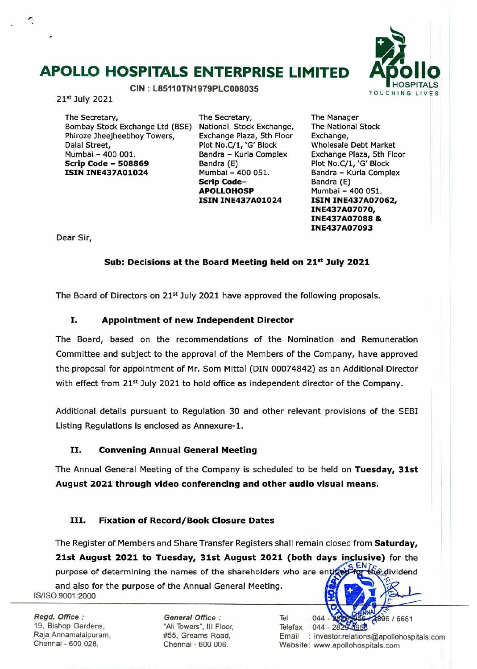## **APOLLO HOSPITALS ENTERPRISE LIMITED**



21st July 2021

÷

The Secretary, Bombay Stock Exchange Ltd (BSE) National Stock Exchange, Phiroze Jheejheebhoy Towers, Dalal Street, Mumbal - 400 001. **Scrip Code** - **<sup>508869</sup> ISIN INE437A01024** 

The Secretary, Exchange Plaza, 5th Floor Plot No.C/1, 'G' Block Bandra - Kurla Complex Bandra (E) Mumbal - 400 051. **Scrip Code**-**APOLLOHOSP ISIN INE437A01024** 

The Manager The National Stock Exchange, Wholesale Debt Market Exchange PLaza, 5th Floor Plot No.C/1, 'G' Block Bandra - Kurla Complex Bandra (E) Mumbai - 400 051. **ISIN INE437A07062, INE437A07070, INE437A07088** & **INE437A07093** 

Dear Sir,

#### Sub: Decisions at the Board Meeting held on 21<sup>st</sup> July 2021

The Board of Directors on 21<sup>st</sup> July 2021 have approved the following proposals.

#### **I. Appointment of new Independent Director**

The Board, based on the recommendations of the Nomination and Remuneration Committee and subject to the approval of the Members of the Company, have approved the proposal for appointment of Mr. Sam Mittal (DIN 00074842) as an Additional Director with effect from 21<sup>st</sup> July 2021 to hold office as independent director of the Company.

Additional details pursuant to Regulation 30 and other relevant provisions of the SEBI Listing Regulations is enclosed as Annexure-1.

#### **II. Convening Annual General Meeting**

The Annual General Meeting of the Company is scheduled to be held on **Tuesday, 31st August 2021 through video conferencing and other audio visual means.** 

#### **III. Fixation of Record/Book Closure Dates**

The Register of Members and Share Transfer Registers shall remain closed from **Saturday, 21st August 2021 to Tuesday, 31st August 2021 (both days inclusive)** for the

ENT<sub>E</sub><br>For the dividend purpose of determining the names of the shareholders who are entitively

and also for the purpose of the Annual General Meeting. Is/Iso 9001 :2000

Regd. Office: General Office: 19, Bishop Gardens, "Ali Towers", Ill Floor. Raja Annamalaipuram, #55, Greams Road,<br>Chennai - 600 028. (Chennai - 600 006)

Chennai - 600 006.

Tel  $: 044$ 896 / 6681 Telefax : 044 - 2829-0958 Email : investor.relations©apollohospitals.com Website: www.apollohospitals.com

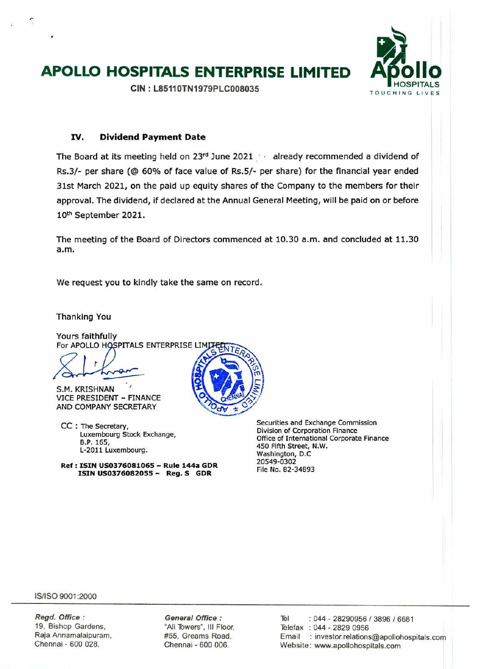# **APOLLO HOSPITALS ENTERPRISE LIMITED Apollo**

 $CIN:$  L85110TN1979PLC008035

#### **IV. Dividend Payment Date**

The Board at its meeting held on  $23<sup>rd</sup>$  June 2021 already recommended a dividend of Rs.3/- per share *(©* 60% of face value of Rs.5/- per share) for the financial year ended 31st March 2021, on the paid up equity shares of the Company to the members for their approval. The dividend, if declared at the Annual General Meeting, will be paid on or before 10th September 2021.

The meeting of the Board of Directors commenced at 10.30 a.m. and concluded at 11.30 a.m.

We request you to kindly take the same on record.

Thanking You

Yours faithfully For APOLLO HOSPITALS ENTERPRISE LIMITED

 $(2) \cdot \mathcal{D}$ 

S.M. KRISHNAN VICE PRESIDENT - FINANCE AND COMPANY SECRETARY

CC : The Secretary, Luxembourg Stock Exchange, B.P. 165, L-2011 Luxembourg.

**Ref: ISIN USD376081065 - Rule 144a GDR ISIN US0376082055 - Reg. S GDR** 

Securities and Exchange Commission Division of Corporation Finance Office of International Corporate Finance 450 Fifth Street, N.W. Washington, D.C. 20549-0302 File No. 82-34893

IS/ISO 9001:2000

**Regd. Office:**  19, Bishop Gardens, Raja Annamalaipuram, Chennai - 600 028.

**General Office**  "Ali Towers", III Floor, #55, Greams Road, Chennai - 600 006.

Tel : 044 - 28290956 / 3896 / 6681 Telefax : 044 - 2829 0956 Email : investor.relations©apollohospitals.com Website: www.apollohospitals.com



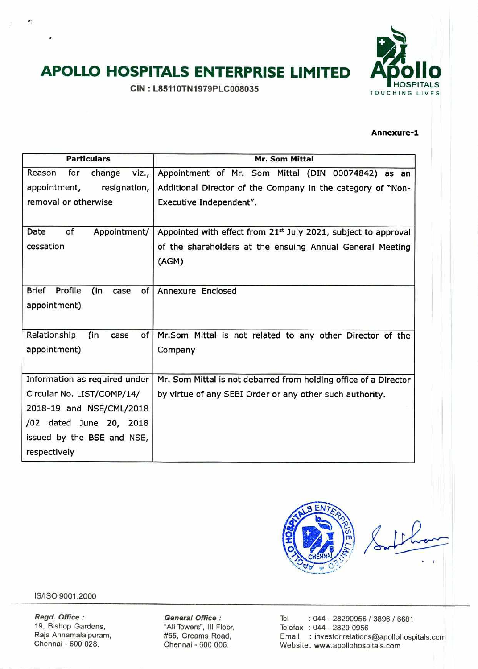# **APOLLO HOSPITALS ENTERPRISE LIMITED Apollo**

 $CIN : L85110TN1979PLC008035$ 



#### **Annexure-1**

| <b>Particulars</b>            |                   | <b>Mr. Som Mittal</b>                                            |
|-------------------------------|-------------------|------------------------------------------------------------------|
| for<br>Reason                 | change<br>viz.,   | Appointment of Mr. Som Mittal (DIN 00074842) as an               |
| appointment,                  | resignation,      | Additional Director of the Company in the category of "Non-      |
| removal or otherwise          |                   | Executive Independent".                                          |
|                               |                   |                                                                  |
| Date<br>of                    | Appointment/      | Appointed with effect from 21st July 2021, subject to approval   |
| cessation                     |                   | of the shareholders at the ensuing Annual General Meeting        |
|                               |                   | (AGM)                                                            |
|                               |                   |                                                                  |
| <b>Brief</b><br>Profile       | (in<br>of<br>case | Annexure Enclosed                                                |
| appointment)                  |                   |                                                                  |
|                               |                   |                                                                  |
| Relationship                  | (in<br>of<br>case | Mr.Som Mittal is not related to any other Director of the        |
| appointment)                  |                   | Company                                                          |
|                               |                   |                                                                  |
| Information as required under |                   | Mr. Som Mittal is not debarred from holding office of a Director |
| Circular No. LIST/COMP/14/    |                   | by virtue of any SEBI Order or any other such authority.         |
| 2018-19 and NSE/CML/2018      |                   |                                                                  |
| /02 dated June 20, 2018       |                   |                                                                  |
| issued by the BSE and NSE,    |                   |                                                                  |
| respectively                  |                   |                                                                  |



IS/ISO 9001:2000

٠

**Regd. Office:** General Office: Tel : 044 - 28290956 / 3896 / 6681<br>19, Bishop Gardens, "Ali Towers", III Floor, Telefax : 044 - 2829 0956 19, Bishop Gardens, "Ali Towers", III Floor, "Telefax : 044 - 2829 0956<br>Raja Annamalaipuram, "#55, Greams Road," Email : investor.relations Raja Annamalaipuram, #55, Greams Road, Email : investor.relations©apollohospjtals.com Website: www.apollohospitals.com